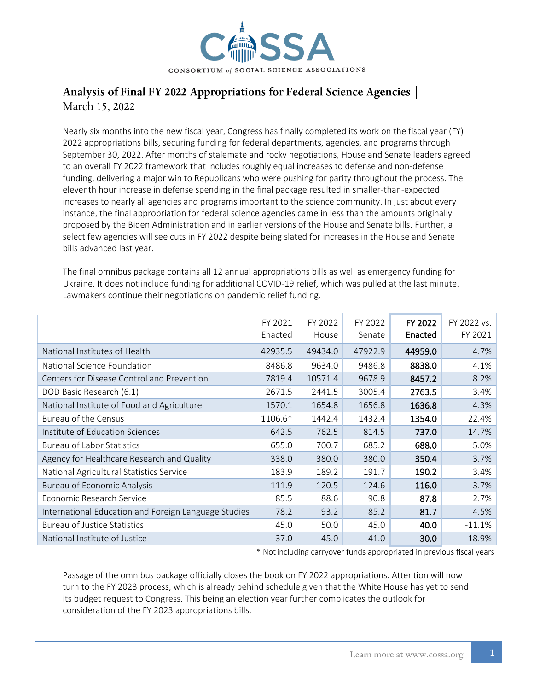

## Analysis of Final FY 2022 Appropriations for Federal Science Agencies March 15, 2022

Nearly six months into the new fiscal year, Congress has finally completed its work on the fiscal year (FY) 2022 appropriations bills, securing funding for federal departments, agencies, and programs through September 30, 2022. After months of stalemate and rocky negotiations, House and Senate leaders agreed to an overall FY 2022 framework that includes roughly equal increases to defense and non-defense funding, delivering a major win to Republicans who were pushing for parity throughout the process. The eleventh hour increase in defense spending in the final package resulted in smaller-than-expected increases to nearly all agencies and programs important to the science community. In just about every instance, the final appropriation for federal science agencies came in less than the amounts originally proposed by the Biden Administration and in earlier versions of the House and Senate bills. Further, a select few agencies will see cuts in FY 2022 despite being slated for increases in the House and Senate bills advanced last year.

The final omnibus package contains all 12 annual appropriations bills as well as emergency funding for Ukraine. It does not include funding for additional COVID-19 relief, which was pulled at the last minute. Lawmakers continue their negotiations on pandemic relief funding.

|                                                      | FY 2021<br>Enacted | FY 2022<br>House | FY 2022<br>Senate | FY 2022<br>Enacted | FY 2022 vs.<br>FY 2021 |
|------------------------------------------------------|--------------------|------------------|-------------------|--------------------|------------------------|
| National Institutes of Health                        | 42935.5            | 49434.0          | 47922.9           | 44959.0            | 4.7%                   |
| National Science Foundation                          | 8486.8             | 9634.0           | 9486.8            | 8838.0             | 4.1%                   |
| Centers for Disease Control and Prevention           | 7819.4             | 10571.4          | 9678.9            | 8457.2             | 8.2%                   |
| DOD Basic Research (6.1)                             | 2671.5             | 2441.5           | 3005.4            | 2763.5             | 3.4%                   |
| National Institute of Food and Agriculture           | 1570.1             | 1654.8           | 1656.8            | 1636.8             | 4.3%                   |
| Bureau of the Census                                 | 1106.6*            | 1442.4           | 1432.4            | 1354.0             | 22.4%                  |
| Institute of Education Sciences                      | 642.5              | 762.5            | 814.5             | 737.0              | 14.7%                  |
| <b>Bureau of Labor Statistics</b>                    | 655.0              | 700.7            | 685.2             | 688.0              | 5.0%                   |
| Agency for Healthcare Research and Quality           | 338.0              | 380.0            | 380.0             | 350.4              | 3.7%                   |
| National Agricultural Statistics Service             | 183.9              | 189.2            | 191.7             | 190.2              | 3.4%                   |
| <b>Bureau of Economic Analysis</b>                   | 111.9              | 120.5            | 124.6             | 116.0              | 3.7%                   |
| Economic Research Service                            | 85.5               | 88.6             | 90.8              | 87.8               | 2.7%                   |
| International Education and Foreign Language Studies | 78.2               | 93.2             | 85.2              | 81.7               | 4.5%                   |
| <b>Bureau of Justice Statistics</b>                  | 45.0               | 50.0             | 45.0              | 40.0               | $-11.1%$               |
| National Institute of Justice                        | 37.0               | 45.0             | 41.0              | 30.0               | $-18.9%$               |

\* Notincluding carryover funds appropriated in previous fiscal years

Passage of the omnibus package officially closes the book on FY 2022 appropriations. Attention will now turn to the FY 2023 process, which is already behind schedule given that the White House has yet to send its budget request to Congress. This being an election year further complicates the outlook for consideration of the FY 2023 appropriations bills.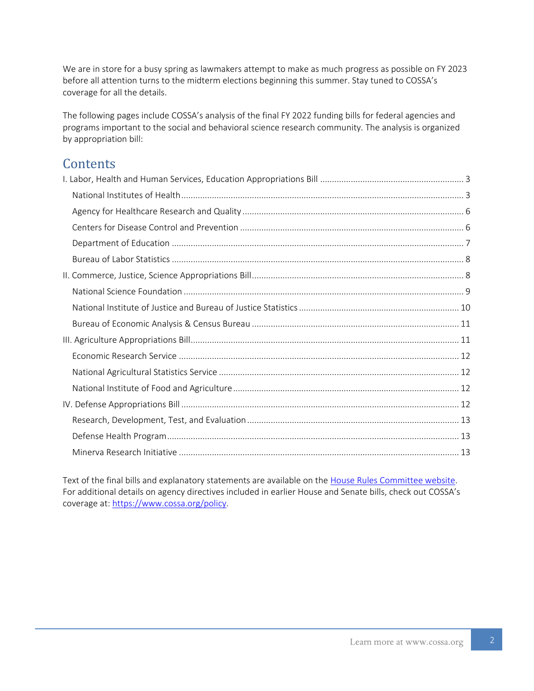We are in store for a busy spring as lawmakers attempt to make as much progress as possible on FY 2023 before all attention turns to the midterm elections beginning this summer. Stay tuned to COSSA's coverage for all the details.

The following pages include COSSA's analysis of the final FY 2022 funding bills for federal agencies and programs important to the social and behavioral science research community. The analysis is organized by appropriation bill:

# **Contents**

Text of the final bills and explanatory statements are available on the [House Rules Committee website.](https://rules.house.gov/bill/117/hr-2471-sa) For additional details on agency directives included in earlier House and Senate bills, check out COSSA's coverage at: [https://www.cossa.org/policy.](https://www.cossa.org/policy)

2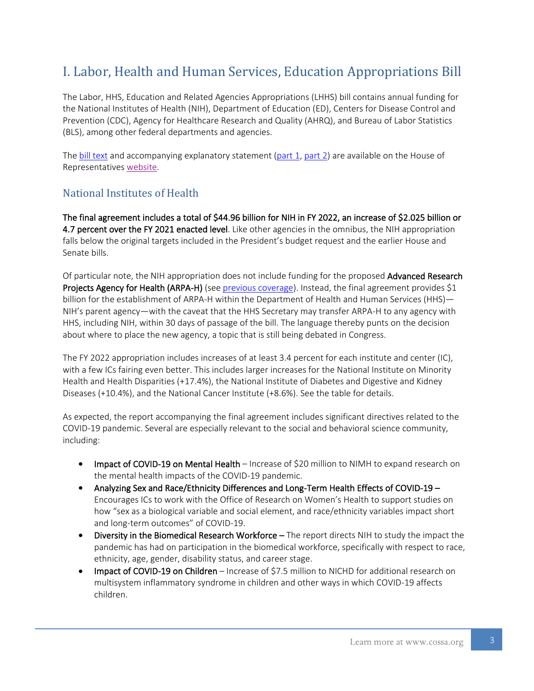# <span id="page-2-0"></span>I. Labor, Health and Human Services, Education Appropriations Bill

The Labor, HHS, Education and Related Agencies Appropriations (LHHS) bill contains annual funding for the National Institutes of Health (NIH), Department of Education (ED), Centers for Disease Control and Prevention (CDC), Agency for Healthcare Research and Quality (AHRQ), and Bureau of Labor Statistics (BLS), among other federal departments and agencies.

The [bill text](https://docs.house.gov/billsthisweek/20220307/BILLS-117HR2471SA-RCP-117-35.pdf) and accompanying explanatory statement [\(part 1,](http://docs.house.gov/billsthisweek/20220307/BILLS-117RCP35-JES-DIVISION-H_Part1.pdf) [part 2\)](http://docs.house.gov/billsthisweek/20220307/BILLS-117RCP35-JES-DIVISION-H_Part2.pdf) are available on the House of Representatives [website.](https://docs.house.gov/floor/Default.aspx?date=2022-03-07)

### <span id="page-2-1"></span>National Institutes of Health

The final agreement includes a total of \$44.96 billion for NIH in FY 2022, an increase of \$2.025 billion or 4.7 percent over the FY 2021 enacted level. Like other agencies in the omnibus, the NIH appropriation falls below the original targets included in the President's budget request and the earlier House and Senate bills.

Of particular note, the NIH appropriation does not include funding for the proposed Advanced Research Projects Agency for Health (ARPA-H) (see [previous coverage\)](https://www.cossa.org/?s=arpa-h&submit=Go). Instead, the final agreement provides \$1 billion for the establishment of ARPA-H within the Department of Health and Human Services (HHS)— NIH's parent agency—with the caveat that the HHS Secretary may transfer ARPA-H to any agency with HHS, including NIH, within 30 days of passage of the bill. The language thereby punts on the decision about where to place the new agency, a topic that is still being debated in Congress.

The FY 2022 appropriation includes increases of at least 3.4 percent for each institute and center (IC), with a few ICs fairing even better. This includes larger increases for the National Institute on Minority Health and Health Disparities (+17.4%), the National Institute of Diabetes and Digestive and Kidney Diseases (+10.4%), and the National Cancer Institute (+8.6%). See the table for details.

As expected, the report accompanying the final agreement includes significant directives related to the COVID-19 pandemic. Several are especially relevant to the social and behavioral science community, including:

- Impact of COVID-19 on Mental Health Increase of \$20 million to NIMH to expand research on the mental health impacts of the COVID-19 pandemic.
- Analyzing Sex and Race/Ethnicity Differences and Long-Term Health Effects of COVID-19 Encourages ICs to work with the Office of Research on Women's Health to support studies on how "sex as a biological variable and social element, and race/ethnicity variables impact short and long-term outcomes" of COVID-19.
- Diversity in the Biomedical Research Workforce –The report directs NIH to study the impact the pandemic has had on participation in the biomedical workforce, specifically with respect to race, ethnicity, age, gender, disability status, and career stage.
- Impact of COVID-19 on Children Increase of \$7.5 million to NICHD for additional research on multisystem inflammatory syndrome in children and other ways in which COVID-19 affects children.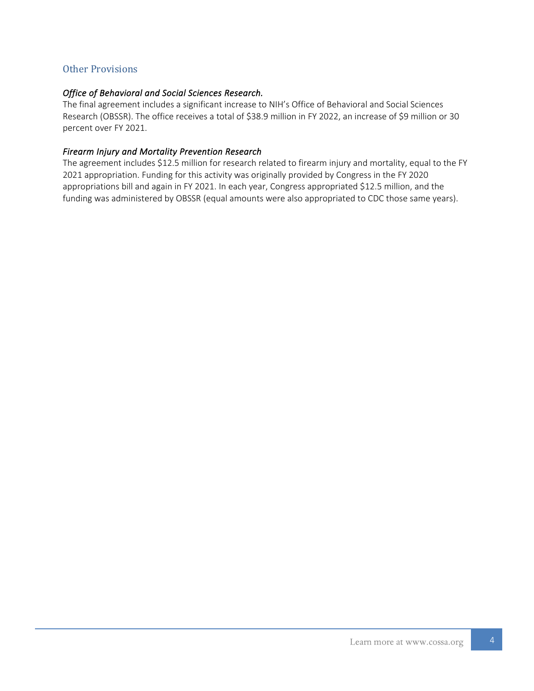#### Other Provisions

#### *Office of Behavioral and Social Sciences Research.*

The final agreement includes a significant increase to NIH's Office of Behavioral and Social Sciences Research (OBSSR). The office receives a total of \$38.9 million in FY 2022, an increase of \$9 million or 30 percent over FY 2021.

#### *Firearm Injury and Mortality Prevention Research*

The agreement includes \$12.5 million for research related to firearm injury and mortality, equal to the FY 2021 appropriation. Funding for this activity was originally provided by Congress in the FY 2020 appropriations bill and again in FY 2021. In each year, Congress appropriated \$12.5 million, and the funding was administered by OBSSR (equal amounts were also appropriated to CDC those same years).

4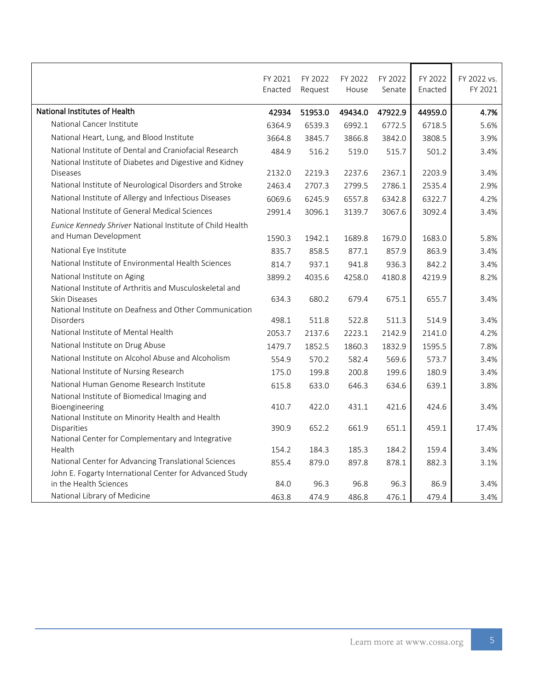|                                                                            | FY 2021<br>Enacted | FY 2022<br>Request | FY 2022<br>House | FY 2022<br>Senate | FY 2022<br>Enacted | FY 2022 vs.<br>FY 2021 |
|----------------------------------------------------------------------------|--------------------|--------------------|------------------|-------------------|--------------------|------------------------|
| National Institutes of Health                                              | 42934              | 51953.0            | 49434.0          | 47922.9           | 44959.0            | 4.7%                   |
| National Cancer Institute                                                  | 6364.9             | 6539.3             | 6992.1           | 6772.5            | 6718.5             | 5.6%                   |
| National Heart, Lung, and Blood Institute                                  | 3664.8             | 3845.7             | 3866.8           | 3842.0            | 3808.5             | 3.9%                   |
| National Institute of Dental and Craniofacial Research                     | 484.9              | 516.2              | 519.0            | 515.7             | 501.2              | 3.4%                   |
| National Institute of Diabetes and Digestive and Kidney                    |                    |                    |                  |                   |                    |                        |
| <b>Diseases</b>                                                            | 2132.0             | 2219.3             | 2237.6           | 2367.1            | 2203.9             | 3.4%                   |
| National Institute of Neurological Disorders and Stroke                    | 2463.4             | 2707.3             | 2799.5           | 2786.1            | 2535.4             | 2.9%                   |
| National Institute of Allergy and Infectious Diseases                      | 6069.6             | 6245.9             | 6557.8           | 6342.8            | 6322.7             | 4.2%                   |
| National Institute of General Medical Sciences                             | 2991.4             | 3096.1             | 3139.7           | 3067.6            | 3092.4             | 3.4%                   |
| Eunice Kennedy Shriver National Institute of Child Health                  |                    |                    |                  |                   |                    |                        |
| and Human Development                                                      | 1590.3             | 1942.1             | 1689.8           | 1679.0            | 1683.0             | 5.8%                   |
| National Eye Institute                                                     | 835.7              | 858.5              | 877.1            | 857.9             | 863.9              | 3.4%                   |
| National Institute of Environmental Health Sciences                        | 814.7              | 937.1              | 941.8            | 936.3             | 842.2              | 3.4%                   |
| National Institute on Aging                                                | 3899.2             | 4035.6             | 4258.0           | 4180.8            | 4219.9             | 8.2%                   |
| National Institute of Arthritis and Musculoskeletal and<br>Skin Diseases   | 634.3              | 680.2              | 679.4            | 675.1             | 655.7              | 3.4%                   |
| National Institute on Deafness and Other Communication<br><b>Disorders</b> | 498.1              | 511.8              | 522.8            | 511.3             | 514.9              | 3.4%                   |
| National Institute of Mental Health                                        | 2053.7             | 2137.6             | 2223.1           | 2142.9            | 2141.0             | 4.2%                   |
| National Institute on Drug Abuse                                           | 1479.7             | 1852.5             | 1860.3           | 1832.9            | 1595.5             | 7.8%                   |
| National Institute on Alcohol Abuse and Alcoholism                         | 554.9              | 570.2              | 582.4            | 569.6             | 573.7              | 3.4%                   |
| National Institute of Nursing Research                                     | 175.0              | 199.8              | 200.8            | 199.6             | 180.9              | 3.4%                   |
| National Human Genome Research Institute                                   | 615.8              | 633.0              | 646.3            | 634.6             | 639.1              | 3.8%                   |
| National Institute of Biomedical Imaging and                               |                    |                    |                  |                   |                    |                        |
| Bioengineering                                                             | 410.7              | 422.0              | 431.1            | 421.6             | 424.6              | 3.4%                   |
| National Institute on Minority Health and Health                           |                    |                    |                  |                   |                    |                        |
| Disparities                                                                | 390.9              | 652.2              | 661.9            | 651.1             | 459.1              | 17.4%                  |
| National Center for Complementary and Integrative<br>Health                | 154.2              | 184.3              | 185.3            | 184.2             | 159.4              | 3.4%                   |
| National Center for Advancing Translational Sciences                       | 855.4              |                    |                  | 878.1             | 882.3              | 3.1%                   |
| John E. Fogarty International Center for Advanced Study                    |                    | 879.0              | 897.8            |                   |                    |                        |
| in the Health Sciences                                                     | 84.0               | 96.3               | 96.8             | 96.3              | 86.9               | 3.4%                   |
| National Library of Medicine                                               | 463.8              | 474.9              | 486.8            | 476.1             | 479.4              | 3.4%                   |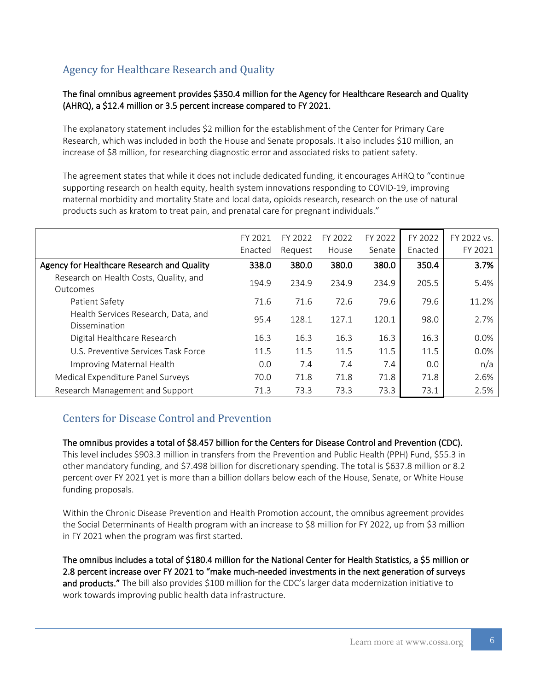## <span id="page-5-0"></span>Agency for Healthcare Research and Quality

#### The final omnibus agreement provides \$350.4 million for the Agency for Healthcare Research and Quality (AHRQ), a \$12.4 million or 3.5 percent increase compared to FY 2021.

The explanatory statement includes \$2 million for the establishment of the Center for Primary Care Research, which was included in both the House and Senate proposals. It also includes \$10 million, an increase of \$8 million, for researching diagnostic error and associated risks to patient safety.

The agreement states that while it does not include dedicated funding, it encourages AHRQ to "continue supporting research on health equity, health system innovations responding to COVID-19, improving maternal morbidity and mortality State and local data, opioids research, research on the use of natural products such as kratom to treat pain, and prenatal care for pregnant individuals."

|                                                      | FY 2021<br>Enacted | FY 2022<br>Request | FY 2022<br>House | FY 2022<br>Senate | FY 2022<br>Enacted | FY 2022 vs.<br>FY 2021 |
|------------------------------------------------------|--------------------|--------------------|------------------|-------------------|--------------------|------------------------|
| Agency for Healthcare Research and Quality           | 338.0              | 380.0              | 380.0            | 380.0             | 350.4              | 3.7%                   |
| Research on Health Costs, Quality, and<br>Outcomes   | 194.9              | 234.9              | 234.9            | 234.9             | 205.5              | 5.4%                   |
| Patient Safety                                       | 71.6               | 71.6               | 72.6             | 79.6              | 79.6               | 11.2%                  |
| Health Services Research, Data, and<br>Dissemination | 95.4               | 128.1              | 127.1            | 120.1             | 98.0               | 2.7%                   |
| Digital Healthcare Research                          | 16.3               | 16.3               | 16.3             | 16.3              | 16.3               | $0.0\%$                |
| U.S. Preventive Services Task Force                  | 11.5               | 11.5               | 11.5             | 11.5              | 11.5               | 0.0%                   |
| Improving Maternal Health                            | 0.0                | 7.4                | 7.4              | 7.4               | 0.0                | n/a                    |
| Medical Expenditure Panel Surveys                    | 70.0               | 71.8               | 71.8             | 71.8              | 71.8               | 2.6%                   |
| Research Management and Support                      | 71.3               | 73.3               | 73.3             | 73.3              | 73.1               | 2.5%                   |

### <span id="page-5-1"></span>Centers for Disease Control and Prevention

#### The omnibus provides a total of \$8.457 billion for the Centers for Disease Control and Prevention (CDC).

This level includes \$903.3 million in transfers from the Prevention and Public Health (PPH) Fund, \$55.3 in other mandatory funding, and \$7.498 billion for discretionary spending. The total is \$637.8 million or 8.2 percent over FY 2021 yet is more than a billion dollars below each of the House, Senate, or White House funding proposals.

Within the Chronic Disease Prevention and Health Promotion account, the omnibus agreement provides the Social Determinants of Health program with an increase to \$8 million for FY 2022, up from \$3 million in FY 2021 when the program was first started.

The omnibus includes a total of \$180.4 million for the National Center for Health Statistics, a \$5 million or 2.8 percent increase over FY 2021 to "make much-needed investments in the next generation of surveys and products." The bill also provides \$100 million for the CDC's larger data modernization initiative to work towards improving public health data infrastructure.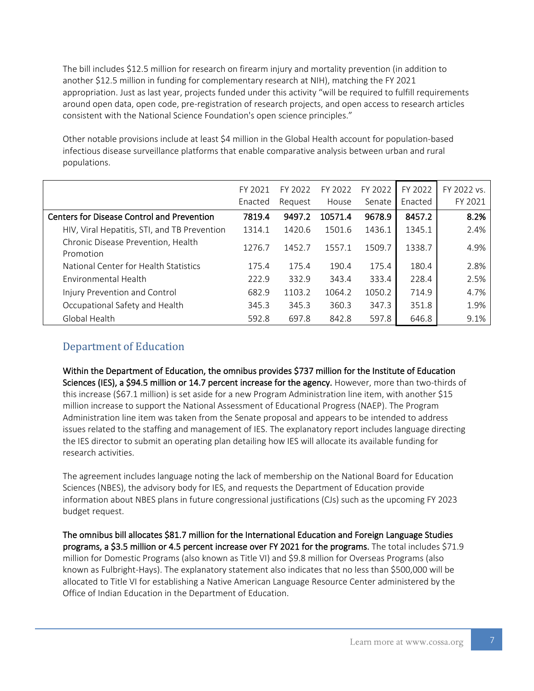The bill includes \$12.5 million for research on firearm injury and mortality prevention (in addition to another \$12.5 million in funding for complementary research at NIH), matching the FY 2021 appropriation. Just as last year, projects funded under this activity "will be required to fulfill requirements around open data, open code, pre-registration of research projects, and open access to research articles consistent with the National Science Foundation's open science principles."

Other notable provisions include at least \$4 million in the Global Health account for population-based infectious disease surveillance platforms that enable comparative analysis between urban and rural populations.

|                                                   | FY 2021<br>Enacted | FY 2022<br>Request | FY 2022<br>House | FY 2022<br>Senate | FY 2022<br>Enacted | FY 2022 vs.<br>FY 2021 |
|---------------------------------------------------|--------------------|--------------------|------------------|-------------------|--------------------|------------------------|
| <b>Centers for Disease Control and Prevention</b> | 7819.4             | 9497.2             | 10571.4          | 9678.9            | 8457.2             | 8.2%                   |
| HIV, Viral Hepatitis, STI, and TB Prevention      | 1314.1             | 1420.6             | 1501.6           | 1436.1            | 1345.1             | 2.4%                   |
| Chronic Disease Prevention, Health<br>Promotion   | 1276.7             | 1452.7             | 1557.1           | 1509.7            | 1338.7             | 4.9%                   |
| National Center for Health Statistics             | 175.4              | 175.4              | 190.4            | 175.4             | 180.4              | 2.8%                   |
| Environmental Health                              | 222.9              | 332.9              | 343.4            | 333.4             | 228.4              | 2.5%                   |
| Injury Prevention and Control                     | 682.9              | 1103.2             | 1064.2           | 1050.2            | 714.9              | 4.7%                   |
| Occupational Safety and Health                    | 345.3              | 345.3              | 360.3            | 347.3             | 351.8              | 1.9%                   |
| Global Health                                     | 592.8              | 697.8              | 842.8            | 597.8             | 646.8              | 9.1%                   |

### <span id="page-6-0"></span>Department of Education

Within the Department of Education, the omnibus provides \$737 million for the Institute of Education Sciences (IES), a \$94.5 million or 14.7 percent increase for the agency. However, more than two-thirds of this increase (\$67.1 million) is set aside for a new Program Administration line item, with another \$15 million increase to support the National Assessment of Educational Progress (NAEP). The Program Administration line item was taken from the Senate proposal and appears to be intended to address issues related to the staffing and management of IES. The explanatory report includes language directing the IES director to submit an operating plan detailing how IES will allocate its available funding for research activities.

The agreement includes language noting the lack of membership on the National Board for Education Sciences (NBES), the advisory body for IES, and requests the Department of Education provide information about NBES plans in future congressional justifications (CJs) such as the upcoming FY 2023 budget request.

The omnibus bill allocates \$81.7 million for the International Education and Foreign Language Studies programs, a \$3.5 million or 4.5 percent increase over FY 2021 for the programs. The total includes \$71.9 million for Domestic Programs (also known as Title VI) and \$9.8 million for Overseas Programs (also known as Fulbright-Hays). The explanatory statement also indicates that no less than \$500,000 will be allocated to Title VI for establishing a Native American Language Resource Center administered by the Office of Indian Education in the Department of Education.

7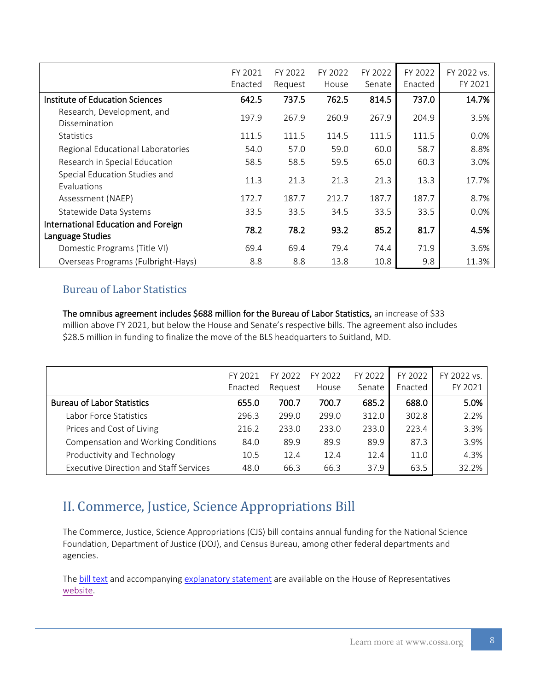|                                                         | FY 2021<br>Enacted | FY 2022<br>Request | FY 2022<br>House | FY 2022<br>Senate | FY 2022<br>Enacted | FY 2022 vs.<br>FY 2021 |
|---------------------------------------------------------|--------------------|--------------------|------------------|-------------------|--------------------|------------------------|
| Institute of Education Sciences                         | 642.5              | 737.5              | 762.5            | 814.5             | 737.0              | 14.7%                  |
| Research, Development, and<br>Dissemination             | 197.9              | 267.9              | 260.9            | 267.9             | 204.9              | 3.5%                   |
| <b>Statistics</b>                                       | 111.5              | 111.5              | 114.5            | 111.5             | 111.5              | 0.0%                   |
| Regional Educational Laboratories                       | 54.0               | 57.0               | 59.0             | 60.0              | 58.7               | 8.8%                   |
| Research in Special Education                           | 58.5               | 58.5               | 59.5             | 65.0              | 60.3               | 3.0%                   |
| Special Education Studies and<br>Evaluations            | 11.3               | 21.3               | 21.3             | 21.3              | 13.3               | 17.7%                  |
| Assessment (NAEP)                                       | 172.7              | 187.7              | 212.7            | 187.7             | 187.7              | 8.7%                   |
| Statewide Data Systems                                  | 33.5               | 33.5               | 34.5             | 33.5              | 33.5               | 0.0%                   |
| International Education and Foreign<br>Language Studies | 78.2               | 78.2               | 93.2             | 85.2              | 81.7               | 4.5%                   |
| Domestic Programs (Title VI)                            | 69.4               | 69.4               | 79.4             | 74.4              | 71.9               | 3.6%                   |
| Overseas Programs (Fulbright-Hays)                      | 8.8                | 8.8                | 13.8             | 10.8              | 9.8                | 11.3%                  |

### <span id="page-7-0"></span>Bureau of Labor Statistics

The omnibus agreement includes \$688 million for the Bureau of Labor Statistics, an increase of \$33 million above FY 2021, but below the House and Senate's respective bills. The agreement also includes \$28.5 million in funding to finalize the move of the BLS headquarters to Suitland, MD.

|                                               | FY 2021 | FY 2022 | FY 2022 | FY 2022 | FY 2022 | FY 2022 vs. |
|-----------------------------------------------|---------|---------|---------|---------|---------|-------------|
|                                               | Enacted | Reauest | House   | Senate  | Enacted | FY 2021     |
| <b>Bureau of Labor Statistics</b>             | 655.0   | 700.7   | 700.7   | 685.2   | 688.0   | 5.0%        |
| Labor Force Statistics                        | 296.3   | 299.0   | 299.0   | 312.0   | 302.8   | 2.2%        |
| Prices and Cost of Living                     | 216.2   | 233.0   | 233.0   | 233.0   | 223.4   | 3.3%        |
| Compensation and Working Conditions           | 84.0    | 89.9    | 89.9    | 89.9    | 87.3    | 3.9%        |
| Productivity and Technology                   | 10.5    | 12.4    | 12.4    | 12.4    | 11.0    | 4.3%        |
| <b>Executive Direction and Staff Services</b> | 48.0    | 66.3    | 66.3    | 37.9    | 63.5    | 32.2%       |

# <span id="page-7-1"></span>II. Commerce, Justice, Science Appropriations Bill

The Commerce, Justice, Science Appropriations (CJS) bill contains annual funding for the National Science Foundation, Department of Justice (DOJ), and Census Bureau, among other federal departments and agencies.

The **bill text** and accompanying [explanatory statement](https://docs.house.gov/billsthisweek/20220307/BILLS-117RCP35-JES-DIVISION-B.pdf) are available on the House of Representatives [website.](https://docs.house.gov/floor/Default.aspx?date=2022-03-07)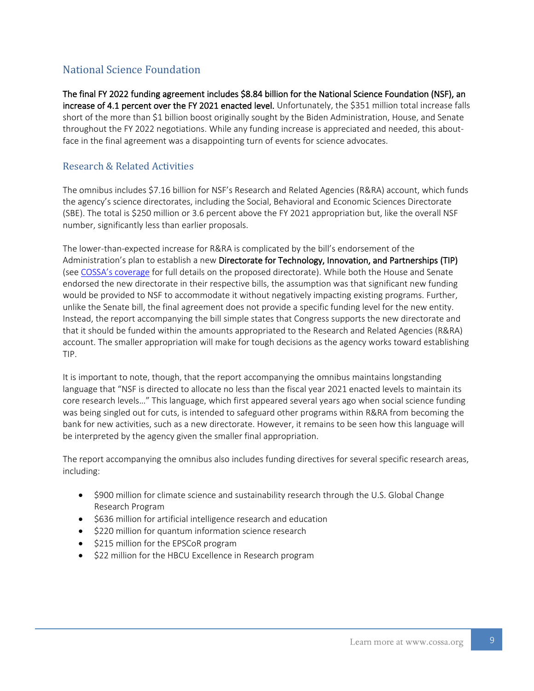### <span id="page-8-0"></span>National Science Foundation

The final FY 2022 funding agreement includes \$8.84 billion for the National Science Foundation (NSF), an increase of 4.1 percent over the FY 2021 enacted level. Unfortunately, the \$351 million total increase falls short of the more than \$1 billion boost originally sought by the Biden Administration, House, and Senate throughout the FY 2022 negotiations. While any funding increase is appreciated and needed, this aboutface in the final agreement was a disappointing turn of events for science advocates.

### Research & Related Activities

The omnibus includes \$7.16 billion for NSF's Research and Related Agencies (R&RA) account, which funds the agency's science directorates, including the Social, Behavioral and Economic Sciences Directorate (SBE). The total is \$250 million or 3.6 percent above the FY 2021 appropriation but, like the overall NSF number, significantly less than earlier proposals.

The lower-than-expected increase for R&RA is complicated by the bill's endorsement of the Administration's plan to establish a new Directorate for Technology, Innovation, and Partnerships (TIP) (see [COSSA's coverage](https://www.cossa.org/wp-content/uploads/2021/06/COSSA-FY-2022-PBR-Analysis.pdf) for full details on the proposed directorate). While both the House and Senate endorsed the new directorate in their respective bills, the assumption was that significant new funding would be provided to NSF to accommodate it without negatively impacting existing programs. Further, unlike the Senate bill, the final agreement does not provide a specific funding level for the new entity. Instead, the report accompanying the bill simple states that Congress supports the new directorate and that it should be funded within the amounts appropriated to the Research and Related Agencies (R&RA) account. The smaller appropriation will make for tough decisions as the agency works toward establishing TIP.

It is important to note, though, that the report accompanying the omnibus maintains longstanding language that "NSF is directed to allocate no less than the fiscal year 2021 enacted levels to maintain its core research levels…" This language, which first appeared several years ago when social science funding was being singled out for cuts, is intended to safeguard other programs within R&RA from becoming the bank for new activities, such as a new directorate. However, it remains to be seen how this language will be interpreted by the agency given the smaller final appropriation.

The report accompanying the omnibus also includes funding directives for several specific research areas, including:

- \$900 million for climate science and sustainability research through the U.S. Global Change Research Program
- \$636 million for artificial intelligence research and education
- \$220 million for quantum information science research
- \$215 million for the EPSCoR program
- \$22 million for the HBCU Excellence in Research program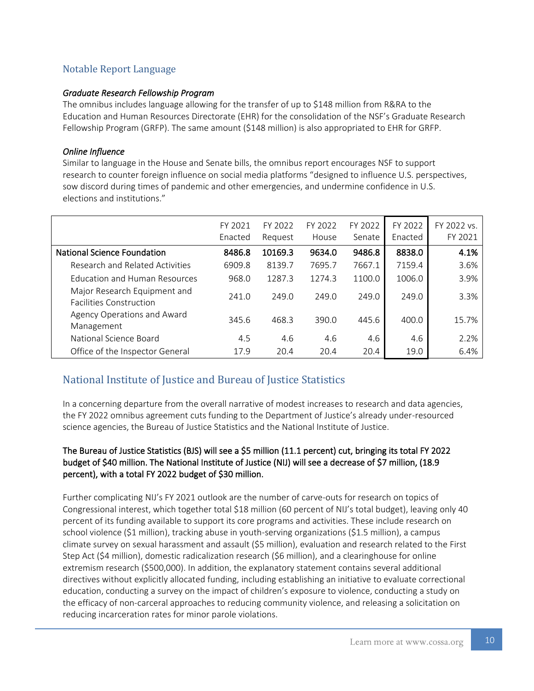### Notable Report Language

#### *Graduate Research Fellowship Program*

The omnibus includes language allowing for the transfer of up to \$148 million from R&RA to the Education and Human Resources Directorate (EHR) for the consolidation of the NSF's Graduate Research Fellowship Program (GRFP). The same amount (\$148 million) is also appropriated to EHR for GRFP.

#### *Online Influence*

Similar to language in the House and Senate bills, the omnibus report encourages NSF to support research to counter foreign influence on social media platforms "designed to influence U.S. perspectives, sow discord during times of pandemic and other emergencies, and undermine confidence in U.S. elections and institutions."

|                                                                | FY 2021<br>Enacted | FY 2022<br>Request | FY 2022<br>House | FY 2022<br>Senate | FY 2022<br>Enacted | FY 2022 vs.<br>FY 2021 |
|----------------------------------------------------------------|--------------------|--------------------|------------------|-------------------|--------------------|------------------------|
| <b>National Science Foundation</b>                             | 8486.8             | 10169.3            | 9634.0           | 9486.8            | 8838.0             | 4.1%                   |
| Research and Related Activities                                | 6909.8             | 8139.7             | 7695.7           | 7667.1            | 7159.4             | 3.6%                   |
| <b>Education and Human Resources</b>                           | 968.0              | 1287.3             | 1274.3           | 1100.0            | 1006.0             | 3.9%                   |
| Major Research Equipment and<br><b>Facilities Construction</b> | 241.0              | 249.0              | 249.0            | 249.0             | 249.0              | 3.3%                   |
| Agency Operations and Award<br>Management                      | 345.6              | 468.3              | 390.0            | 445.6             | 400.0              | 15.7%                  |
| National Science Board                                         | 4.5                | 4.6                | 4.6              | 4.6               | 4.6                | 2.2%                   |
| Office of the Inspector General                                | 17.9               | 20.4               | 20.4             | 20.4              | 19.0               | 6.4%                   |

### <span id="page-9-0"></span>National Institute of Justice and Bureau of Justice Statistics

In a concerning departure from the overall narrative of modest increases to research and data agencies, the FY 2022 omnibus agreement cuts funding to the Department of Justice's already under-resourced science agencies, the Bureau of Justice Statistics and the National Institute of Justice.

#### The Bureau of Justice Statistics (BJS) will see a \$5 million (11.1 percent) cut, bringing its total FY 2022 budget of \$40 million. The National Institute of Justice (NIJ) will see a decrease of \$7 million, (18.9 percent), with a total FY 2022 budget of \$30 million.

Further complicating NIJ's FY 2021 outlook are the number of carve-outs for research on topics of Congressional interest, which together total \$18 million (60 percent of NIJ's total budget), leaving only 40 percent of its funding available to support its core programs and activities. These include research on school violence (\$1 million), tracking abuse in youth-serving organizations (\$1.5 million), a campus climate survey on sexual harassment and assault (\$5 million), evaluation and research related to the First Step Act (\$4 million), domestic radicalization research (\$6 million), and a clearinghouse for online extremism research (\$500,000). In addition, the explanatory statement contains several additional directives without explicitly allocated funding, including establishing an initiative to evaluate correctional education, conducting a survey on the impact of children's exposure to violence, conducting a study on the efficacy of non-carceral approaches to reducing community violence, and releasing a solicitation on reducing incarceration rates for minor parole violations.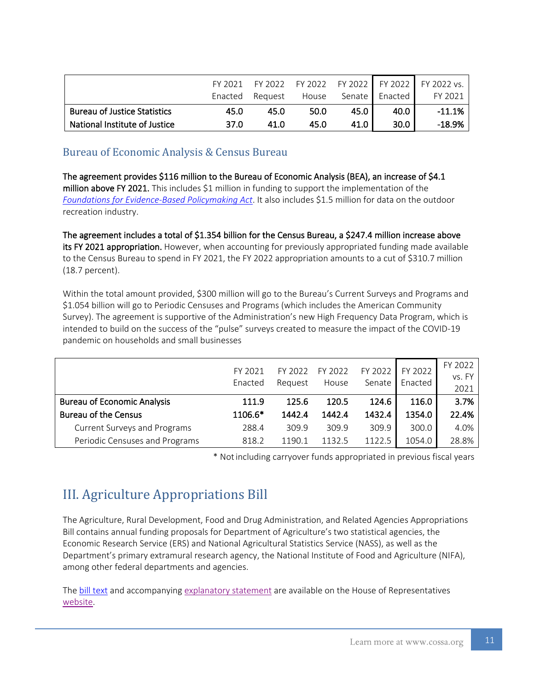|                                     | FY 2021 | FY 2022         |       |          | FY 2022 FY 2022 FY 2022 | $FY$ 2022 vs. |
|-------------------------------------|---------|-----------------|-------|----------|-------------------------|---------------|
|                                     |         | Enacted Request | House | Senate I | Enacted                 | FY 2021       |
| <b>Bureau of Justice Statistics</b> | 45.0    | 45.0            | 50.0  | 45.0     | 40.0                    | $-11.1%$      |
| National Institute of Justice       | 37.0    | 41 N            | 45.0  | 41.0     | 30.0 <sub>1</sub>       | $-18.9\%$     |

### <span id="page-10-0"></span>Bureau of Economic Analysis & Census Bureau

The agreement provides \$116 million to the Bureau of Economic Analysis (BEA), an increase of \$4.1 million above FY 2021. This includes \$1 million in funding to support the implementation of the *[Foundations for Evidence-Based Policymaking Act](https://cossa.org/tag/evidence-act)*. It also includes \$1.5 million for data on the outdoor recreation industry.

The agreement includes a total of \$1.354 billion for the Census Bureau, a \$247.4 million increase above its FY 2021 appropriation. However, when accounting for previously appropriated funding made available to the Census Bureau to spend in FY 2021, the FY 2022 appropriation amounts to a cut of \$310.7 million (18.7 percent).

Within the total amount provided, \$300 million will go to the Bureau's Current Surveys and Programs and \$1.054 billion will go to Periodic Censuses and Programs (which includes the American Community Survey). The agreement is supportive of the Administration's new High Frequency Data Program, which is intended to build on the success of the "pulse" surveys created to measure the impact of the COVID-19 pandemic on households and small businesses

|                                     | FY 2021<br>Enacted | FY 2022<br>Reauest | FY 2022<br>House | FY 2022<br>Senate | FY 2022<br>Enacted | FY 2022<br>vs. FY<br>2021 |
|-------------------------------------|--------------------|--------------------|------------------|-------------------|--------------------|---------------------------|
| <b>Bureau of Economic Analysis</b>  | 111.9              | 125.6              | 120.5            | 124.6             | 116.0              | 3.7%                      |
| <b>Bureau of the Census</b>         | 1106.6*            | 1442.4             | 1442.4           | 1432.4            | 1354.0             | 22.4%                     |
| <b>Current Surveys and Programs</b> | 288.4              | 309.9              | 309.9            | 309.9             | 300.0              | 4.0%                      |
| Periodic Censuses and Programs      | 818.2              | 1190.              | 1132.5           | 1122.5            | 1054.0             | 28.8%                     |

\* Notincluding carryover funds appropriated in previous fiscal years

# <span id="page-10-1"></span>III. Agriculture Appropriations Bill

The Agriculture, Rural Development, Food and Drug Administration, and Related Agencies Appropriations Bill contains annual funding proposals for Department of Agriculture's two statistical agencies, the Economic Research Service (ERS) and National Agricultural Statistics Service (NASS), as well as the Department's primary extramural research agency, the National Institute of Food and Agriculture (NIFA), among other federal departments and agencies.

The [bill text](https://docs.house.gov/billsthisweek/20220307/BILLS-117HR2471SA-RCP-117-35.pdf) and accompanying [explanatory statement](https://docs.house.gov/billsthisweek/20220307/BILLS-117RCP35-JES-DIVISION-A.pdf) are available on the House of Representatives [website.](https://docs.house.gov/floor/Default.aspx?date=2022-03-07)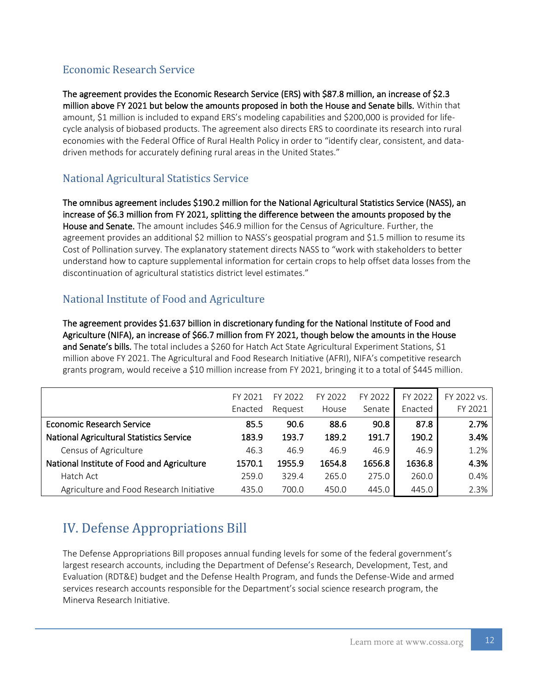## <span id="page-11-0"></span>Economic Research Service

The agreement provides the Economic Research Service (ERS) with \$87.8 million, an increase of \$2.3 million above FY 2021 but below the amounts proposed in both the House and Senate bills. Within that amount, \$1 million is included to expand ERS's modeling capabilities and \$200,000 is provided for lifecycle analysis of biobased products. The agreement also directs ERS to coordinate its research into rural economies with the Federal Office of Rural Health Policy in order to "identify clear, consistent, and datadriven methods for accurately defining rural areas in the United States."

## <span id="page-11-1"></span>National Agricultural Statistics Service

The omnibus agreement includes \$190.2 million for the National Agricultural Statistics Service (NASS), an increase of \$6.3 million from FY 2021, splitting the difference between the amounts proposed by the House and Senate. The amount includes \$46.9 million for the Census of Agriculture. Further, the agreement provides an additional \$2 million to NASS's geospatial program and \$1.5 million to resume its Cost of Pollination survey. The explanatory statement directs NASS to "work with stakeholders to better understand how to capture supplemental information for certain crops to help offset data losses from the discontinuation of agricultural statistics district level estimates."

### <span id="page-11-2"></span>National Institute of Food and Agriculture

The agreement provides \$1.637 billion in discretionary funding for the National Institute of Food and Agriculture (NIFA), an increase of \$66.7 million from FY 2021, though below the amounts in the House and Senate's bills. The total includes a \$260 for Hatch Act State Agricultural Experiment Stations, \$1 million above FY 2021. The Agricultural and Food Research Initiative (AFRI), NIFA's competitive research grants program, would receive a \$10 million increase from FY 2021, bringing it to a total of \$445 million.

|                                                 | FY 2021<br>Enacted | FY 2022<br>Request | FY 2022<br>House | FY 2022<br>Senate | FY 2022<br>Enacted | FY 2022 vs.<br>FY 2021 |
|-------------------------------------------------|--------------------|--------------------|------------------|-------------------|--------------------|------------------------|
| <b>Economic Research Service</b>                | 85.5               | 90.6               | 88.6             | 90.8              | 87.8               | 2.7%                   |
| <b>National Agricultural Statistics Service</b> | 183.9              | 193.7              | 189.2            | 191.7             | 190.2              | 3.4%                   |
| Census of Agriculture                           | 46.3               | 46.9               | 46.9             | 46.9              | 46.9               | 1.2%                   |
| National Institute of Food and Agriculture      | 1570.1             | 1955.9             | 1654.8           | 1656.8            | 1636.8             | 4.3%                   |
| Hatch Act                                       | 259.0              | 329.4              | 265.0            | 275.0             | 260.0              | 0.4%                   |
| Agriculture and Food Research Initiative        | 435.0              | 700.0              | 450.0            | 445.0             | 445.0              | 2.3%                   |

# <span id="page-11-3"></span>IV. Defense Appropriations Bill

The Defense Appropriations Bill proposes annual funding levels for some of the federal government's largest research accounts, including the Department of Defense's Research, Development, Test, and Evaluation (RDT&E) budget and the Defense Health Program, and funds the Defense-Wide and armed services research accounts responsible for the Department's social science research program, the Minerva Research Initiative.